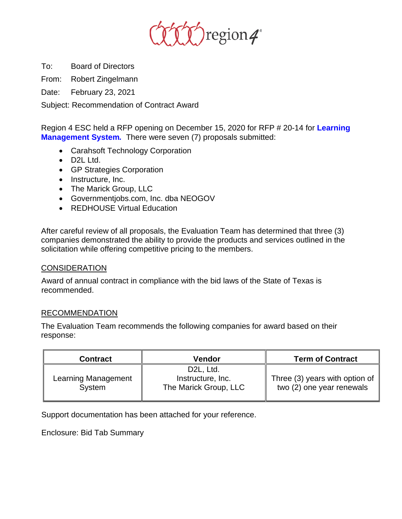

To: Board of Directors

From: Robert Zingelmann

Date: February 23, 2021

Subject: Recommendation of Contract Award

Region 4 ESC held a RFP opening on December 15, 2020 for RFP # 20-14 for **Learning Management System***.* There were seven (7) proposals submitted:

- Carahsoft Technology Corporation
- D2L Ltd.
- GP Strategies Corporation
- Instructure, Inc.
- The Marick Group, LLC
- Governmentjobs.com, Inc. dba NEOGOV
- REDHOUSE Virtual Education

After careful review of all proposals, the Evaluation Team has determined that three (3) companies demonstrated the ability to provide the products and services outlined in the solicitation while offering competitive pricing to the members.

## **CONSIDERATION**

Award of annual contract in compliance with the bid laws of the State of Texas is recommended.

## RECOMMENDATION

The Evaluation Team recommends the following companies for award based on their response:

| <b>Contract</b>               | Vendor                                                               | <b>Term of Contract</b>                                     |
|-------------------------------|----------------------------------------------------------------------|-------------------------------------------------------------|
| Learning Management<br>System | D <sub>2</sub> L, Ltd.<br>Instructure, Inc.<br>The Marick Group, LLC | Three (3) years with option of<br>two (2) one year renewals |

Support documentation has been attached for your reference.

Enclosure: Bid Tab Summary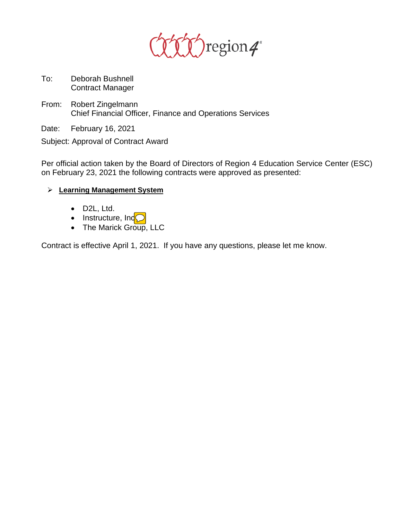

- To: Deborah Bushnell Contract Manager
- From: Robert Zingelmann Chief Financial Officer, Finance and Operations Services
- Date: February 16, 2021

Subject: Approval of Contract Award

Per official action taken by the Board of Directors of Region 4 Education Service Center (ESC) on February 23, 2021 the following contracts were approved as presented:

- **Learning Management System**
	- D2L, Ltd.
	- Instructure, Ind<mark>(</mark>
	- The Marick Group, LLC

Contract is effective April 1, 2021. If you have any questions, please let me know.